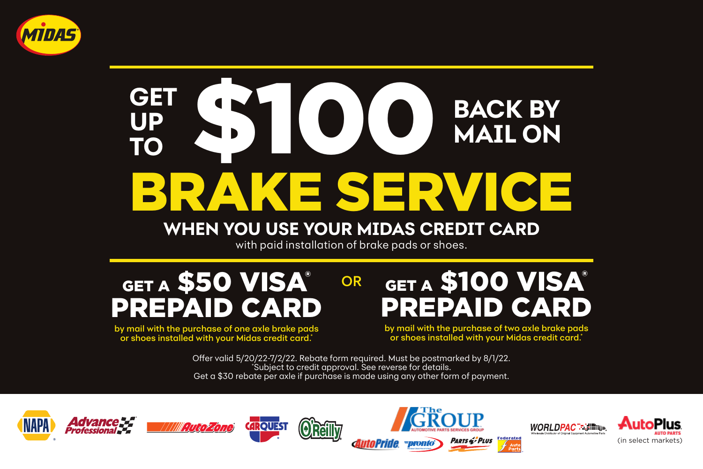

## KE SERVICE **GET \$100 UP TO BACK BY MAIL ON**

## **WHEN YOU USE YOUR MIDAS CREDIT CARD**

with paid installation of brake pads or shoes.

OR

GET A \$50 VISA® PREPAID CARD

by mail with the purchase of one axle brake pads or shoes installed with your Midas credit card.\*

**GET A \$100 VISA®** PREPAID CARD

by mail with the purchase of two axle brake pads or shoes installed with your Midas credit card.\*

Offer valid 5/20/22-7/2/22. Rebate form required. Must be postmarked by 8/1/22. \* Subject to credit approval. See reverse for details. Get a \$30 rebate per axle if purchase is made using any other form of payment.